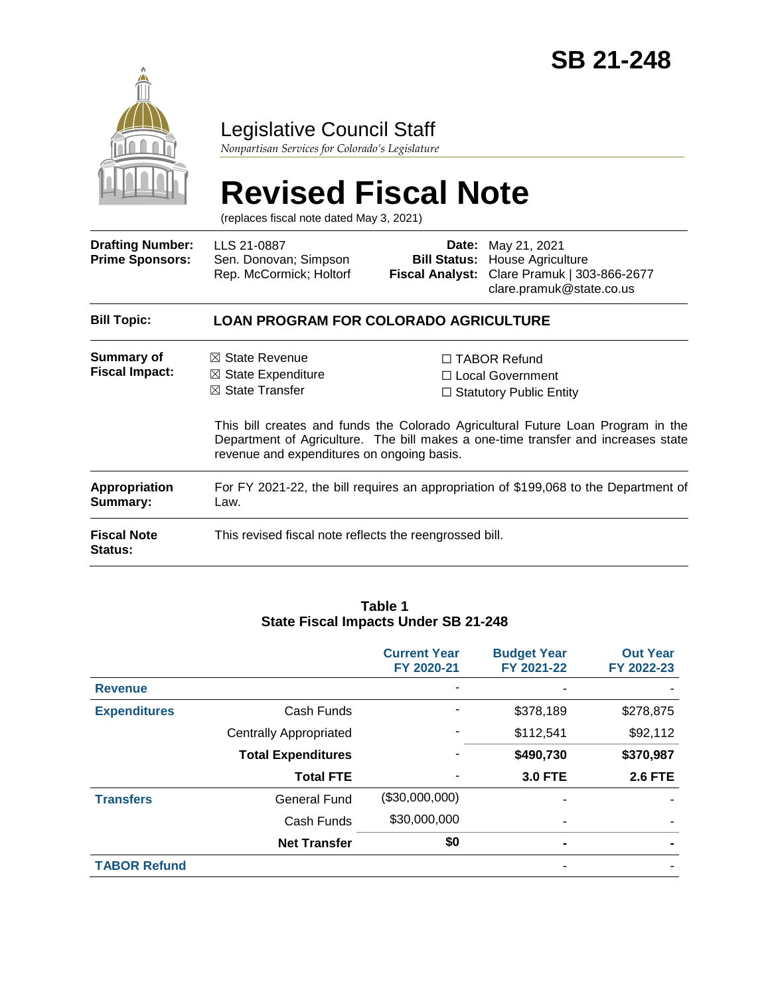

# Legislative Council Staff

*Nonpartisan Services for Colorado's Legislature*

# **Revised Fiscal Note**

(replaces fiscal note dated May 3, 2021)

| <b>Drafting Number:</b><br><b>Prime Sponsors:</b> | LLS 21-0887<br>Sen. Donovan; Simpson<br>Rep. McCormick; Holtorf                                                                        | Date:<br><b>Bill Status:</b> | May 21, 2021<br>House Agriculture<br>Fiscal Analyst: Clare Pramuk   303-866-2677<br>clare.pramuk@state.co.us                                                                                                                                              |  |  |
|---------------------------------------------------|----------------------------------------------------------------------------------------------------------------------------------------|------------------------------|-----------------------------------------------------------------------------------------------------------------------------------------------------------------------------------------------------------------------------------------------------------|--|--|
| <b>Bill Topic:</b>                                | <b>LOAN PROGRAM FOR COLORADO AGRICULTURE</b>                                                                                           |                              |                                                                                                                                                                                                                                                           |  |  |
| Summary of<br><b>Fiscal Impact:</b>               | $\boxtimes$ State Revenue<br>$\boxtimes$ State Expenditure<br>$\boxtimes$ State Transfer<br>revenue and expenditures on ongoing basis. |                              | $\Box$ TABOR Refund<br>$\Box$ Local Government<br>$\Box$ Statutory Public Entity<br>This bill creates and funds the Colorado Agricultural Future Loan Program in the<br>Department of Agriculture. The bill makes a one-time transfer and increases state |  |  |
| Appropriation<br>Summary:                         | For FY 2021-22, the bill requires an appropriation of \$199,068 to the Department of<br>Law.                                           |                              |                                                                                                                                                                                                                                                           |  |  |

**Fiscal Note Status:** This revised fiscal note reflects the reengrossed bill.

#### **Table 1 State Fiscal Impacts Under SB 21-248**

|                     |                               | <b>Current Year</b><br>FY 2020-21 | <b>Budget Year</b><br>FY 2021-22 | <b>Out Year</b><br>FY 2022-23 |
|---------------------|-------------------------------|-----------------------------------|----------------------------------|-------------------------------|
| <b>Revenue</b>      |                               |                                   |                                  |                               |
| <b>Expenditures</b> | Cash Funds                    |                                   | \$378,189                        | \$278,875                     |
|                     | <b>Centrally Appropriated</b> |                                   | \$112,541                        | \$92,112                      |
|                     | <b>Total Expenditures</b>     |                                   | \$490,730                        | \$370,987                     |
|                     | <b>Total FTE</b>              |                                   | <b>3.0 FTE</b>                   | <b>2.6 FTE</b>                |
| <b>Transfers</b>    | <b>General Fund</b>           | (\$30,000,000)                    |                                  |                               |
|                     | Cash Funds                    | \$30,000,000                      |                                  |                               |
|                     | <b>Net Transfer</b>           | \$0                               |                                  |                               |
| <b>TABOR Refund</b> |                               |                                   |                                  |                               |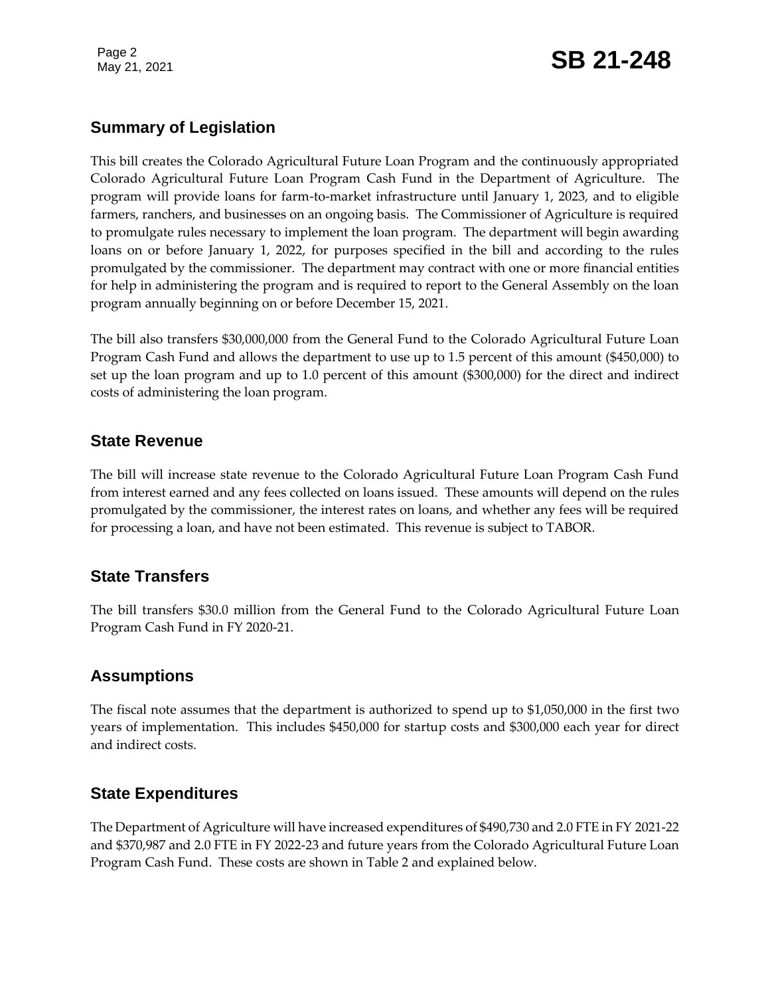Page 2

# **Summary of Legislation**

This bill creates the Colorado Agricultural Future Loan Program and the continuously appropriated Colorado Agricultural Future Loan Program Cash Fund in the Department of Agriculture. The program will provide loans for farm-to-market infrastructure until January 1, 2023, and to eligible farmers, ranchers, and businesses on an ongoing basis. The Commissioner of Agriculture is required to promulgate rules necessary to implement the loan program. The department will begin awarding loans on or before January 1, 2022, for purposes specified in the bill and according to the rules promulgated by the commissioner. The department may contract with one or more financial entities for help in administering the program and is required to report to the General Assembly on the loan program annually beginning on or before December 15, 2021.

The bill also transfers \$30,000,000 from the General Fund to the Colorado Agricultural Future Loan Program Cash Fund and allows the department to use up to 1.5 percent of this amount (\$450,000) to set up the loan program and up to 1.0 percent of this amount (\$300,000) for the direct and indirect costs of administering the loan program.

#### **State Revenue**

The bill will increase state revenue to the Colorado Agricultural Future Loan Program Cash Fund from interest earned and any fees collected on loans issued. These amounts will depend on the rules promulgated by the commissioner, the interest rates on loans, and whether any fees will be required for processing a loan, and have not been estimated. This revenue is subject to TABOR.

# **State Transfers**

The bill transfers \$30.0 million from the General Fund to the Colorado Agricultural Future Loan Program Cash Fund in FY 2020-21.

#### **Assumptions**

The fiscal note assumes that the department is authorized to spend up to \$1,050,000 in the first two years of implementation. This includes \$450,000 for startup costs and \$300,000 each year for direct and indirect costs.

# **State Expenditures**

The Department of Agriculture will have increased expenditures of \$490,730 and 2.0 FTE in FY 2021-22 and \$370,987 and 2.0 FTE in FY 2022-23 and future years from the Colorado Agricultural Future Loan Program Cash Fund. These costs are shown in Table 2 and explained below.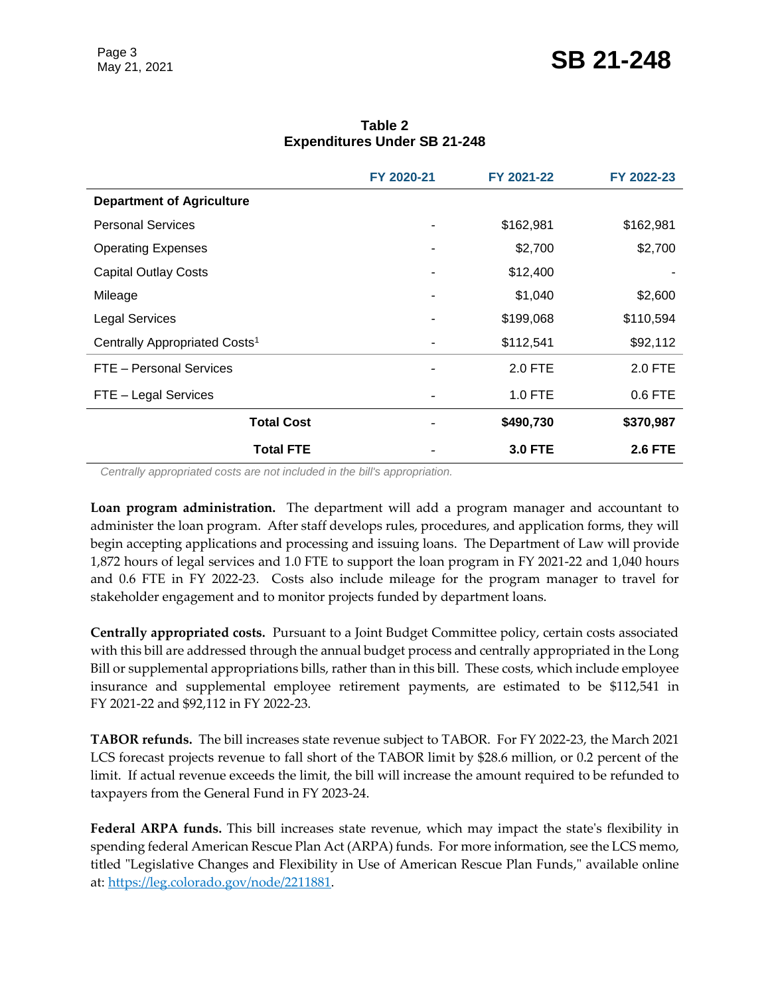|                                           | FY 2020-21     | FY 2021-22     | FY 2022-23     |
|-------------------------------------------|----------------|----------------|----------------|
| <b>Department of Agriculture</b>          |                |                |                |
| <b>Personal Services</b>                  |                | \$162,981      | \$162,981      |
| <b>Operating Expenses</b>                 |                | \$2,700        | \$2,700        |
| <b>Capital Outlay Costs</b>               |                | \$12,400       |                |
| Mileage                                   | ۰              | \$1,040        | \$2,600        |
| <b>Legal Services</b>                     | $\blacksquare$ | \$199,068      | \$110,594      |
| Centrally Appropriated Costs <sup>1</sup> | ۰              | \$112,541      | \$92,112       |
| FTE - Personal Services                   |                | 2.0 FTE        | 2.0 FTE        |
| FTE - Legal Services                      |                | 1.0 FTE        | 0.6 FTE        |
| <b>Total Cost</b>                         |                | \$490,730      | \$370,987      |
| <b>Total FTE</b>                          |                | <b>3.0 FTE</b> | <b>2.6 FTE</b> |

**Table 2 Expenditures Under SB 21-248**

*Centrally appropriated costs are not included in the bill's appropriation.*

**Loan program administration.** The department will add a program manager and accountant to administer the loan program. After staff develops rules, procedures, and application forms, they will begin accepting applications and processing and issuing loans. The Department of Law will provide 1,872 hours of legal services and 1.0 FTE to support the loan program in FY 2021-22 and 1,040 hours and 0.6 FTE in FY 2022-23. Costs also include mileage for the program manager to travel for stakeholder engagement and to monitor projects funded by department loans.

**Centrally appropriated costs.** Pursuant to a Joint Budget Committee policy, certain costs associated with this bill are addressed through the annual budget process and centrally appropriated in the Long Bill or supplemental appropriations bills, rather than in this bill. These costs, which include employee insurance and supplemental employee retirement payments, are estimated to be \$112,541 in FY 2021-22 and \$92,112 in FY 2022-23.

**TABOR refunds.** The bill increases state revenue subject to TABOR. For FY 2022-23, the March 2021 LCS forecast projects revenue to fall short of the TABOR limit by \$28.6 million, or 0.2 percent of the limit. If actual revenue exceeds the limit, the bill will increase the amount required to be refunded to taxpayers from the General Fund in FY 2023-24.

**Federal ARPA funds.** This bill increases state revenue, which may impact the state's flexibility in spending federal American Rescue Plan Act (ARPA) funds. For more information, see the LCS memo, titled "Legislative Changes and Flexibility in Use of American Rescue Plan Funds," available online at: [https://leg.colorado.gov/node/2211881.](https://leg.colorado.gov/node/2211881)